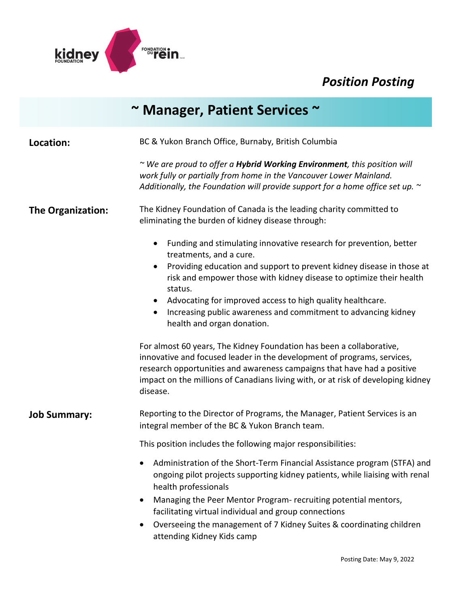

## *Position Posting*

|                          | ~ Manager, Patient Services ~                                                                                                                                                                                                                                                                                                                                                                                                        |
|--------------------------|--------------------------------------------------------------------------------------------------------------------------------------------------------------------------------------------------------------------------------------------------------------------------------------------------------------------------------------------------------------------------------------------------------------------------------------|
| Location:                | BC & Yukon Branch Office, Burnaby, British Columbia                                                                                                                                                                                                                                                                                                                                                                                  |
|                          | ~ We are proud to offer a <b>Hybrid Working Environment</b> , this position will<br>work fully or partially from home in the Vancouver Lower Mainland.<br>Additionally, the Foundation will provide support for a home office set up. $\sim$                                                                                                                                                                                         |
| <b>The Organization:</b> | The Kidney Foundation of Canada is the leading charity committed to<br>eliminating the burden of kidney disease through:                                                                                                                                                                                                                                                                                                             |
|                          | Funding and stimulating innovative research for prevention, better<br>$\bullet$<br>treatments, and a cure.                                                                                                                                                                                                                                                                                                                           |
|                          | Providing education and support to prevent kidney disease in those at<br>$\bullet$<br>risk and empower those with kidney disease to optimize their health<br>status.                                                                                                                                                                                                                                                                 |
|                          | Advocating for improved access to high quality healthcare.<br>$\bullet$<br>Increasing public awareness and commitment to advancing kidney<br>$\bullet$<br>health and organ donation.                                                                                                                                                                                                                                                 |
|                          | For almost 60 years, The Kidney Foundation has been a collaborative,<br>innovative and focused leader in the development of programs, services,<br>research opportunities and awareness campaigns that have had a positive<br>impact on the millions of Canadians living with, or at risk of developing kidney<br>disease.                                                                                                           |
| <b>Job Summary:</b>      | Reporting to the Director of Programs, the Manager, Patient Services is an<br>integral member of the BC & Yukon Branch team.                                                                                                                                                                                                                                                                                                         |
|                          | This position includes the following major responsibilities:                                                                                                                                                                                                                                                                                                                                                                         |
|                          | Administration of the Short-Term Financial Assistance program (STFA) and<br>ongoing pilot projects supporting kidney patients, while liaising with renal<br>health professionals<br>Managing the Peer Mentor Program- recruiting potential mentors,<br>$\bullet$<br>facilitating virtual individual and group connections<br>Overseeing the management of 7 Kidney Suites & coordinating children<br>٠<br>attending Kidney Kids camp |